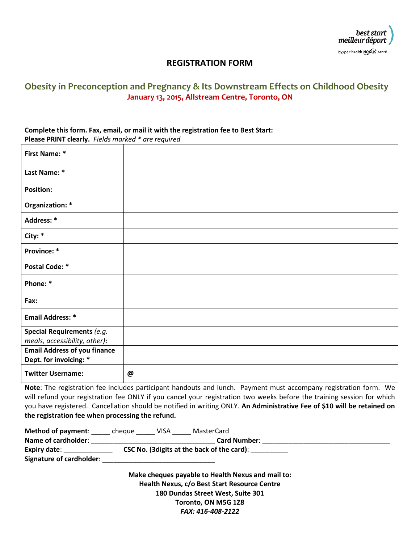

### **REGISTRATION FORM**

## **Obesity in Preconception and Pregnancy & Its Downstream Effects on Childhood Obesity January 13, 2015, Allstream Centre, Toronto, ON**

# **Complete this form. Fax, email, or mail it with the registration fee to Best Start:**

| <b>Please PRINT clearly.</b> Fields marked * are required |
|-----------------------------------------------------------|
|                                                           |

| <b>First Name: *</b>                                          |   |
|---------------------------------------------------------------|---|
| Last Name: *                                                  |   |
| <b>Position:</b>                                              |   |
| Organization: *                                               |   |
| Address: *                                                    |   |
| City: *                                                       |   |
| Province: *                                                   |   |
| <b>Postal Code: *</b>                                         |   |
| Phone: *                                                      |   |
| Fax:                                                          |   |
| <b>Email Address: *</b>                                       |   |
| Special Requirements (e.g.<br>meals, accessibility, other):   |   |
| <b>Email Address of you finance</b><br>Dept. for invoicing: * |   |
| <b>Twitter Username:</b>                                      | @ |

**Note**: The registration fee includes participant handouts and lunch. Payment must accompany registration form. We will refund your registration fee ONLY if you cancel your registration two weeks before the training session for which you have registered. Cancellation should be notified in writing ONLY. **An Administrative Fee of \$10 will be retained on the registration fee when processing the refund.**

| <b>Method of payment:</b> | cheque                                      | VISA | MasterCard          |  |
|---------------------------|---------------------------------------------|------|---------------------|--|
| Name of cardholder:       |                                             |      | <b>Card Number:</b> |  |
| Expiry date:              | CSC No. (3 digits at the back of the card): |      |                     |  |
| Signature of cardholder:  |                                             |      |                     |  |

**Make cheques payable to Health Nexus and mail to: Health Nexus, c/o Best Start Resource Centre 180 Dundas Street West, Suite 301 Toronto, ON M5G 1Z8** *FAX: 416-408-2122*